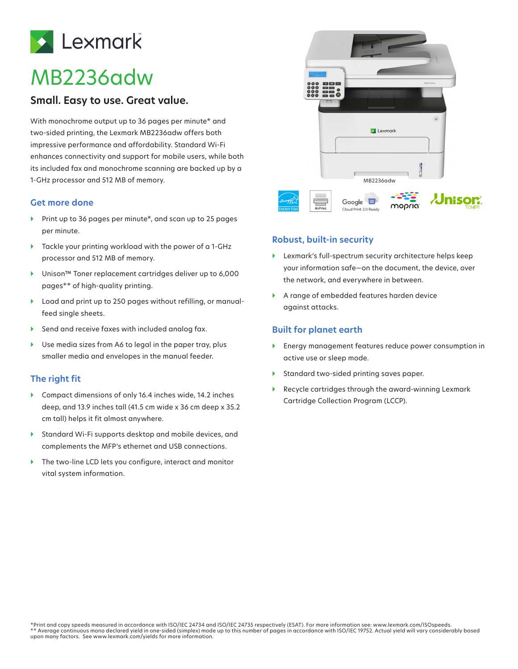

# MB2236adw

# **Small. Easy to use. Great value.**

With monochrome output up to 36 pages per minute\* and two-sided printing, the Lexmark MB2236adw offers both impressive performance and affordability. Standard Wi-Fi enhances connectivity and support for mobile users, while both its included fax and monochrome scanning are backed up by a 1-GHz processor and 512 MB of memory.

#### **Get more done**

- } Print up to 36 pages per minute\*, and scan up to 25 pages per minute.
- } Tackle your printing workload with the power of a 1-GHz processor and 512 MB of memory.
- } Unison™ Toner replacement cartridges deliver up to 6,000 pages\*\* of high-quality printing.
- } Load and print up to 250 pages without refilling, or manualfeed single sheets.
- $\blacktriangleright$  Send and receive faxes with included analog fax.
- ▶ Use media sizes from A6 to legal in the paper tray, plus smaller media and envelopes in the manual feeder.

## **The right fit**

- } Compact dimensions of only 16.4 inches wide, 14.2 inches deep, and 13.9 inches tall (41.5 cm wide x 36 cm deep x 35.2 cm tall) helps it fit almost anywhere.
- } Standard Wi-Fi supports desktop and mobile devices, and complements the MFP's ethernet and USB connections.
- ▶ The two-line LCD lets you configure, interact and monitor vital system information.



#### **Robust, built-in security**

- } Lexmark's full-spectrum security architecture helps keep your information safe—on the document, the device, over the network, and everywhere in between.
- } A range of embedded features harden device against attacks.

## **Built for planet earth**

- } Energy management features reduce power consumption in active use or sleep mode.
- } Standard two-sided printing saves paper.
- } Recycle cartridges through the award-winning Lexmark Cartridge Collection Program (LCCP).